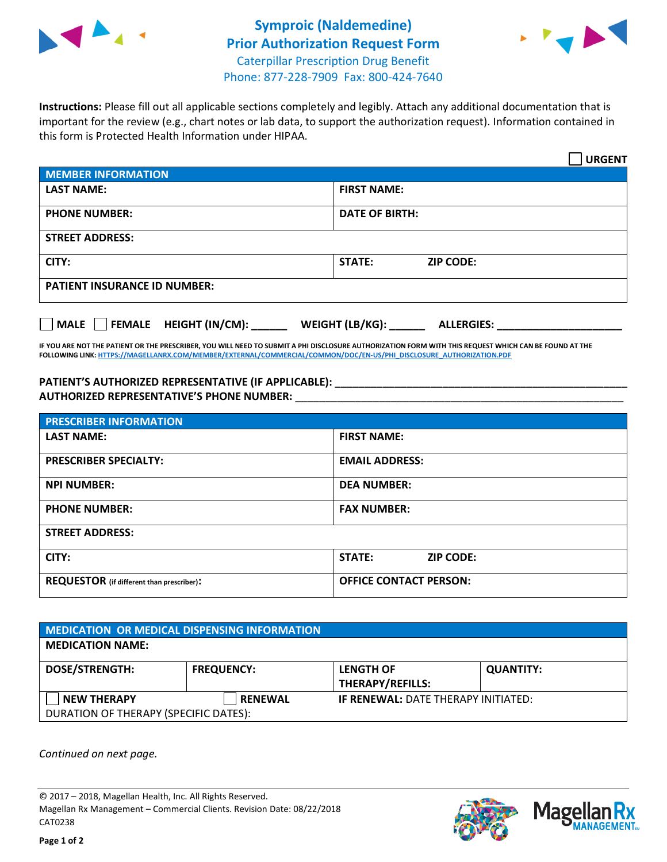



**Instructions:** Please fill out all applicable sections completely and legibly. Attach any additional documentation that is important for the review (e.g., chart notes or lab data, to support the authorization request). Information contained in this form is Protected Health Information under HIPAA.

|                                       | <b>URGENT</b>                        |  |  |  |
|---------------------------------------|--------------------------------------|--|--|--|
| <b>MEMBER INFORMATION</b>             |                                      |  |  |  |
| <b>LAST NAME:</b>                     | <b>FIRST NAME:</b>                   |  |  |  |
| <b>PHONE NUMBER:</b>                  | <b>DATE OF BIRTH:</b>                |  |  |  |
| <b>STREET ADDRESS:</b>                |                                      |  |  |  |
| CITY:                                 | STATE:<br><b>ZIP CODE:</b>           |  |  |  |
| <b>PATIENT INSURANCE ID NUMBER:</b>   |                                      |  |  |  |
| FEMALE HEIGHT (IN/CM):<br><b>MALE</b> | WEIGHT (LB/KG):<br><b>ALLERGIES:</b> |  |  |  |

**IF YOU ARE NOT THE PATIENT OR THE PRESCRIBER, YOU WILL NEED TO SUBMIT A PHI DISCLOSURE AUTHORIZATION FORM WITH THIS REQUEST WHICH CAN BE FOUND AT THE FOLLOWING LINK[: HTTPS://MAGELLANRX.COM/MEMBER/EXTERNAL/COMMERCIAL/COMMON/DOC/EN-US/PHI\\_DISCLOSURE\\_AUTHORIZATION.PDF](https://magellanrx.com/member/external/commercial/common/doc/en-us/PHI_Disclosure_Authorization.pdf)**

**PATIENT'S AUTHORIZED REPRESENTATIVE (IF APPLICABLE): \_\_\_\_\_\_\_\_\_\_\_\_\_\_\_\_\_\_\_\_\_\_\_\_\_\_\_\_\_\_\_\_\_\_\_\_\_\_\_\_\_\_\_\_\_\_\_\_\_ AUTHORIZED REPRESENTATIVE'S PHONE NUMBER:** \_\_\_\_\_\_\_\_\_\_\_\_\_\_\_\_\_\_\_\_\_\_\_\_\_\_\_\_\_\_\_\_\_\_\_\_\_\_\_\_\_\_\_\_\_\_\_\_\_\_\_\_\_\_\_

| <b>PRESCRIBER INFORMATION</b>             |                               |  |  |  |
|-------------------------------------------|-------------------------------|--|--|--|
| <b>LAST NAME:</b>                         | <b>FIRST NAME:</b>            |  |  |  |
| <b>PRESCRIBER SPECIALTY:</b>              | <b>EMAIL ADDRESS:</b>         |  |  |  |
| <b>NPI NUMBER:</b>                        | <b>DEA NUMBER:</b>            |  |  |  |
| <b>PHONE NUMBER:</b>                      | <b>FAX NUMBER:</b>            |  |  |  |
| <b>STREET ADDRESS:</b>                    |                               |  |  |  |
| CITY:                                     | STATE:<br><b>ZIP CODE:</b>    |  |  |  |
| REQUESTOR (if different than prescriber): | <b>OFFICE CONTACT PERSON:</b> |  |  |  |

| MEDICATION OR MEDICAL DISPENSING INFORMATION |                   |                                            |                  |  |  |
|----------------------------------------------|-------------------|--------------------------------------------|------------------|--|--|
| <b>MEDICATION NAME:</b>                      |                   |                                            |                  |  |  |
| <b>DOSE/STRENGTH:</b>                        | <b>FREQUENCY:</b> | <b>LENGTH OF</b>                           | <b>QUANTITY:</b> |  |  |
|                                              |                   | <b>THERAPY/REFILLS:</b>                    |                  |  |  |
| <b>NEW THERAPY</b>                           | <b>RENEWAL</b>    | <b>IF RENEWAL: DATE THERAPY INITIATED:</b> |                  |  |  |
| DURATION OF THERAPY (SPECIFIC DATES):        |                   |                                            |                  |  |  |

*Continued on next page.*

© 2017 – 2018, Magellan Health, Inc. All Rights Reserved. Magellan Rx Management – Commercial Clients. Revision Date: 08/22/2018 CAT0238



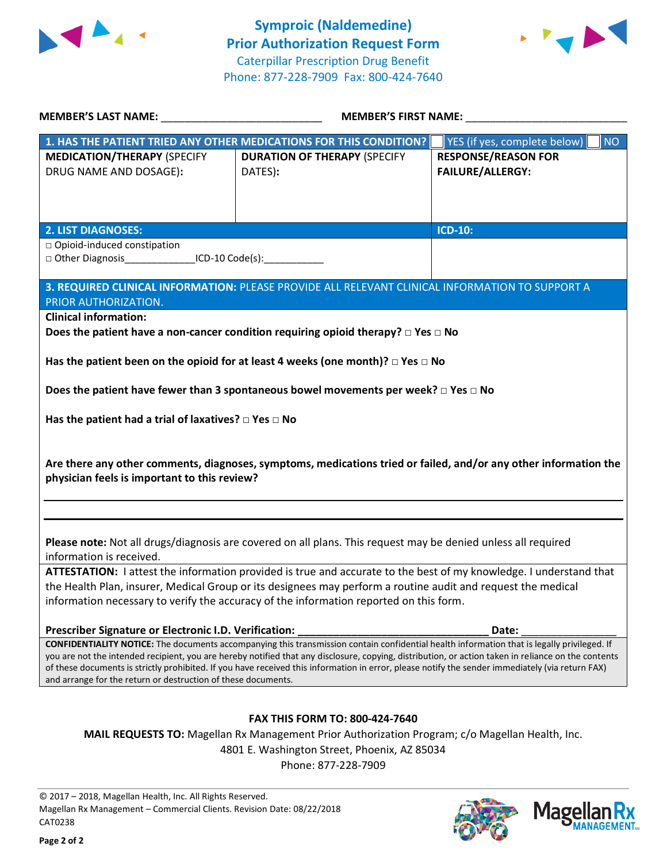



| MEMBER'S LAST NAME: NAME:                                                                                                                                                                                         | <b>MEMBER'S FIRST NAME:</b>                                                                                                                 |                                    |  |  |  |
|-------------------------------------------------------------------------------------------------------------------------------------------------------------------------------------------------------------------|---------------------------------------------------------------------------------------------------------------------------------------------|------------------------------------|--|--|--|
|                                                                                                                                                                                                                   | 1. HAS THE PATIENT TRIED ANY OTHER MEDICATIONS FOR THIS CONDITION?                                                                          | YES (if yes, complete below)<br>NO |  |  |  |
| <b>MEDICATION/THERAPY (SPECIFY</b>                                                                                                                                                                                | <b>DURATION OF THERAPY (SPECIFY</b>                                                                                                         | <b>RESPONSE/REASON FOR</b>         |  |  |  |
| DRUG NAME AND DOSAGE):                                                                                                                                                                                            | DATES):                                                                                                                                     | <b>FAILURE/ALLERGY:</b>            |  |  |  |
|                                                                                                                                                                                                                   |                                                                                                                                             |                                    |  |  |  |
|                                                                                                                                                                                                                   |                                                                                                                                             |                                    |  |  |  |
| <b>2. LIST DIAGNOSES:</b>                                                                                                                                                                                         |                                                                                                                                             | <b>ICD-10:</b>                     |  |  |  |
| □ Opioid-induced constipation                                                                                                                                                                                     |                                                                                                                                             |                                    |  |  |  |
| □ Other Diagnosis__________________ICD-10 Code(s):_____________________________                                                                                                                                   |                                                                                                                                             |                                    |  |  |  |
| PRIOR AUTHORIZATION.                                                                                                                                                                                              | 3. REQUIRED CLINICAL INFORMATION: PLEASE PROVIDE ALL RELEVANT CLINICAL INFORMATION TO SUPPORT A                                             |                                    |  |  |  |
| <b>Clinical information:</b>                                                                                                                                                                                      |                                                                                                                                             |                                    |  |  |  |
|                                                                                                                                                                                                                   | Does the patient have a non-cancer condition requiring opioid therapy? $\Box$ Yes $\Box$ No                                                 |                                    |  |  |  |
|                                                                                                                                                                                                                   | Has the patient been on the opioid for at least 4 weeks (one month)? $\Box$ Yes $\Box$ No                                                   |                                    |  |  |  |
|                                                                                                                                                                                                                   | Does the patient have fewer than 3 spontaneous bowel movements per week? $\square$ Yes $\square$ No                                         |                                    |  |  |  |
|                                                                                                                                                                                                                   |                                                                                                                                             |                                    |  |  |  |
| Has the patient had a trial of laxatives? $\square$ Yes $\square$ No                                                                                                                                              |                                                                                                                                             |                                    |  |  |  |
|                                                                                                                                                                                                                   |                                                                                                                                             |                                    |  |  |  |
| physician feels is important to this review?                                                                                                                                                                      | Are there any other comments, diagnoses, symptoms, medications tried or failed, and/or any other information the                            |                                    |  |  |  |
|                                                                                                                                                                                                                   |                                                                                                                                             |                                    |  |  |  |
|                                                                                                                                                                                                                   |                                                                                                                                             |                                    |  |  |  |
|                                                                                                                                                                                                                   |                                                                                                                                             |                                    |  |  |  |
| information is received.                                                                                                                                                                                          | Please note: Not all drugs/diagnosis are covered on all plans. This request may be denied unless all required                               |                                    |  |  |  |
| ATTESTATION: I attest the information provided is true and accurate to the best of my knowledge. I understand that                                                                                                |                                                                                                                                             |                                    |  |  |  |
| the Health Plan, insurer, Medical Group or its designees may perform a routine audit and request the medical                                                                                                      |                                                                                                                                             |                                    |  |  |  |
| information necessary to verify the accuracy of the information reported on this form.                                                                                                                            |                                                                                                                                             |                                    |  |  |  |
| Prescriber Signature or Electronic I.D. Verification:                                                                                                                                                             |                                                                                                                                             | Date:                              |  |  |  |
|                                                                                                                                                                                                                   | CONFIDENTIALITY NOTICE: The documents accompanying this transmission contain confidential health information that is legally privileged. If |                                    |  |  |  |
| you are not the intended recipient, you are hereby notified that any disclosure, copying, distribution, or action taken in reliance on the contents                                                               |                                                                                                                                             |                                    |  |  |  |
| of these documents is strictly prohibited. If you have received this information in error, please notify the sender immediately (via return FAX)<br>and arrange for the return or destruction of these documents. |                                                                                                                                             |                                    |  |  |  |
|                                                                                                                                                                                                                   |                                                                                                                                             |                                    |  |  |  |
| <b>FAX THIS FORM TO: 800-424-7640</b>                                                                                                                                                                             |                                                                                                                                             |                                    |  |  |  |
| MAIL REQUESTS TO: Magellan Rx Management Prior Authorization Program; c/o Magellan Health, Inc.                                                                                                                   |                                                                                                                                             |                                    |  |  |  |
|                                                                                                                                                                                                                   | 4801 E. Washington Street, Phoenix, AZ 85034                                                                                                |                                    |  |  |  |
|                                                                                                                                                                                                                   | Phone: 877-228-7909                                                                                                                         |                                    |  |  |  |
|                                                                                                                                                                                                                   |                                                                                                                                             |                                    |  |  |  |

© 2017 – 2018, Magellan Health, Inc. All Rights Reserved. Magellan Rx Management – Commercial Clients. Revision Date: 08/22/2018 CAT0238